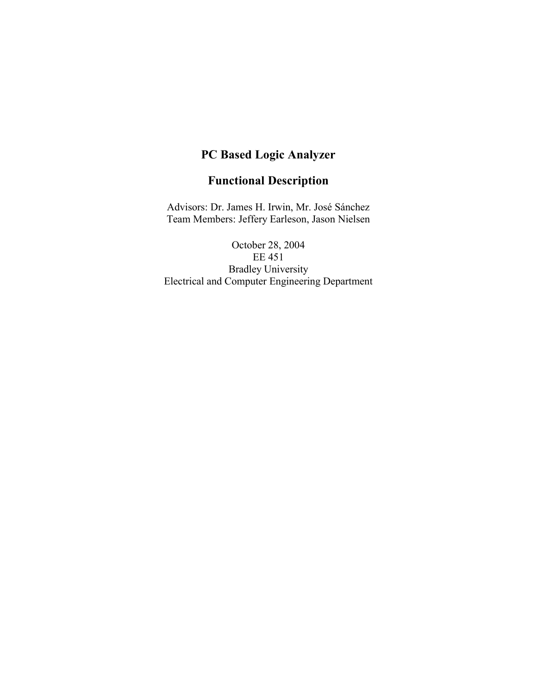# **PC Based Logic Analyzer**

# **Functional Description**

Advisors: Dr. James H. Irwin, Mr. José Sánchez Team Members: Jeffery Earleson, Jason Nielsen

October 28, 2004 EE 451 Bradley University Electrical and Computer Engineering Department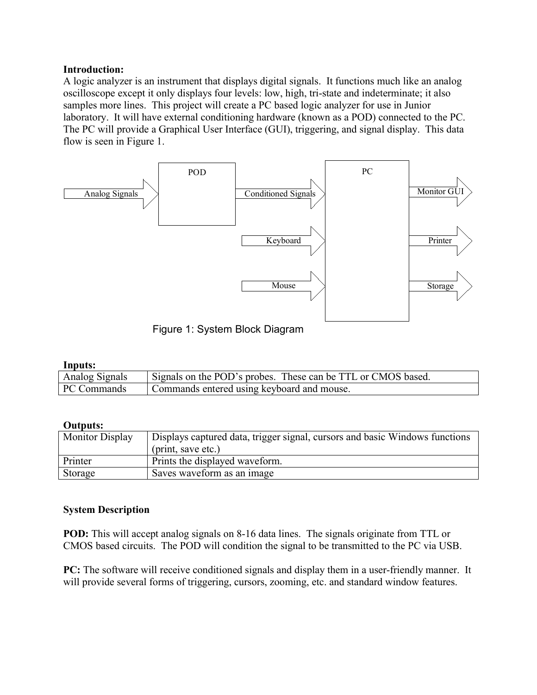### **Introduction:**

A logic analyzer is an instrument that displays digital signals. It functions much like an analog oscilloscope except it only displays four levels: low, high, tri-state and indeterminate; it also samples more lines. This project will create a PC based logic analyzer for use in Junior laboratory. It will have external conditioning hardware (known as a POD) connected to the PC. The PC will provide a Graphical User Interface (GUI), triggering, and signal display. This data flow is seen in Figure 1.



Figure 1: System Block Diagram

### **Inputs:**

| Analog Signals | Signals on the POD's probes. These can be TTL or CMOS based. |
|----------------|--------------------------------------------------------------|
| PC Commands    | Commands entered using keyboard and mouse.                   |

### **Outputs:**

| <b>Monitor Display</b> | Displays captured data, trigger signal, cursors and basic Windows functions |
|------------------------|-----------------------------------------------------------------------------|
|                        | (print, save etc.)                                                          |
| Printer                | Prints the displayed waveform.                                              |
| Storage                | Saves waveform as an image                                                  |

### **System Description**

**POD:** This will accept analog signals on 8-16 data lines. The signals originate from TTL or CMOS based circuits. The POD will condition the signal to be transmitted to the PC via USB.

**PC:** The software will receive conditioned signals and display them in a user-friendly manner. It will provide several forms of triggering, cursors, zooming, etc. and standard window features.